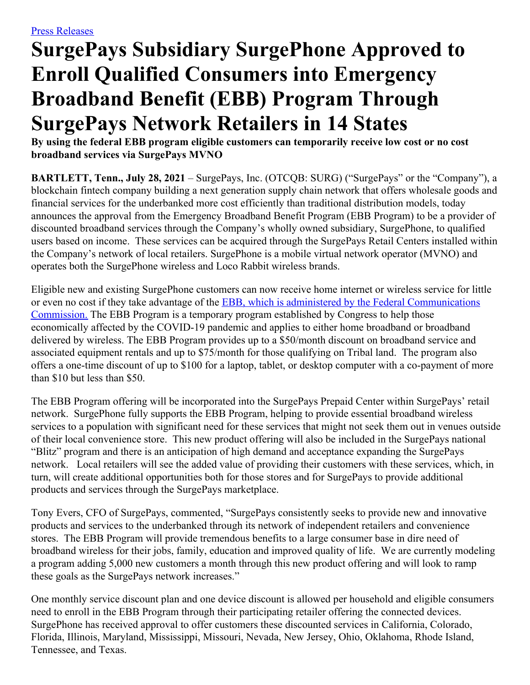# **SurgePays Subsidiary SurgePhone Approved to Enroll Qualified Consumers into Emergency Broadband Benefit (EBB) Program Through SurgePays Network Retailers in 14 States**

**By using the federal EBB program eligible customers can temporarily receive low cost or no cost broadband services via SurgePays MVNO**

**BARTLETT, Tenn., July 28, 2021** – SurgePays, Inc. (OTCQB: SURG) ("SurgePays" or the "Company"), a blockchain fintech company building a next generation supply chain network that offers wholesale goods and financial services for the underbanked more cost efficiently than traditional distribution models, today announces the approval from the Emergency Broadband Benefit Program (EBB Program) to be a provider of discounted broadband services through the Company's wholly owned subsidiary, SurgePhone, to qualified users based on income. These services can be acquired through the SurgePays Retail Centers installed within the Company's network of local retailers. SurgePhone is a mobile virtual network operator (MVNO) and operates both the SurgePhone wireless and Loco Rabbit wireless brands.

Eligible new and existing SurgePhone customers can now receive home internet or wireless service for little or even no cost if they take advantage of the **EBB**, which is administered by the Federal [Communications](https://getemergencybroadband.org/) Commission. The EBB Program is a temporary program established by Congress to help those economically affected by the COVID-19 pandemic and applies to either home broadband or broadband delivered by wireless. The EBB Program provides up to a \$50/month discount on broadband service and associated equipment rentals and up to \$75/month for those qualifying on Tribal land. The program also offers a one-time discount of up to \$100 for a laptop, tablet, or desktop computer with a co-payment of more than \$10 but less than \$50.

The EBB Program offering will be incorporated into the SurgePays Prepaid Center within SurgePays' retail network. SurgePhone fully supports the EBB Program, helping to provide essential broadband wireless services to a population with significant need for these services that might not seek them out in venues outside of their local convenience store. This new product offering will also be included in the SurgePays national "Blitz" program and there is an anticipation of high demand and acceptance expanding the SurgePays network. Local retailers will see the added value of providing their customers with these services, which, in turn, will create additional opportunities both for those stores and for SurgePays to provide additional products and services through the SurgePays marketplace.

Tony Evers, CFO of SurgePays, commented, "SurgePays consistently seeks to provide new and innovative products and services to the underbanked through its network of independent retailers and convenience stores. The EBB Program will provide tremendous benefits to a large consumer base in dire need of broadband wireless for their jobs, family, education and improved quality of life. We are currently modeling a program adding 5,000 new customers a month through this new product offering and will look to ramp these goals as the SurgePays network increases."

One monthly service discount plan and one device discount is allowed per household and eligible consumers need to enroll in the EBB Program through their participating retailer offering the connected devices. SurgePhone has received approval to offer customers these discounted services in California, Colorado, Florida, Illinois, Maryland, Mississippi, Missouri, Nevada, New Jersey, Ohio, Oklahoma, Rhode Island, Tennessee, and Texas.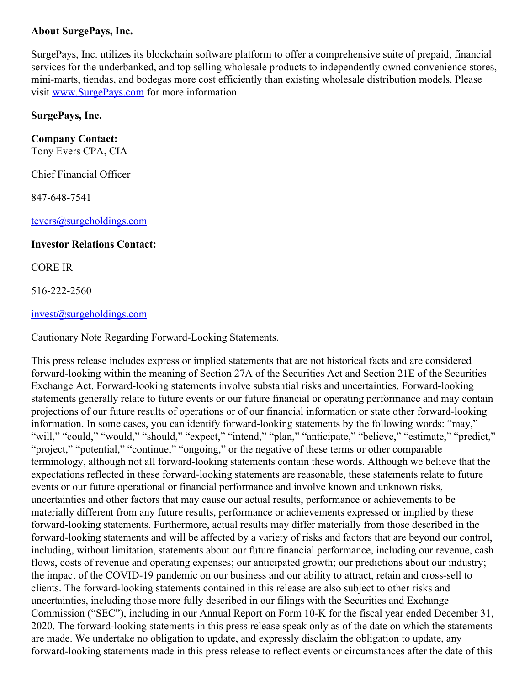## **About SurgePays, Inc.**

SurgePays, Inc. utilizes its blockchain software platform to offer a comprehensive suite of prepaid, financial services for the underbanked, and top selling wholesale products to independently owned convenience stores, mini-marts, tiendas, and bodegas more cost efficiently than existing wholesale distribution models. Please visit [www.SurgePays.com](http://www.surgepays.com/) for more information.

#### **SurgePays, Inc.**

**Company Contact:** Tony Evers CPA, CIA

Chief Financial Officer

847-648-7541

[tevers@surgeholdings.com](mailto:tevers@surgeholdings.com)

## **Investor Relations Contact:**

#### CORE IR

516-222-2560

#### [invest@surgeholdings.com](mailto:invest@surgeholdings.com)

## Cautionary Note Regarding Forward-Looking Statements.

This press release includes express or implied statements that are not historical facts and are considered forward-looking within the meaning of Section 27A of the Securities Act and Section 21E of the Securities Exchange Act. Forward-looking statements involve substantial risks and uncertainties. Forward-looking statements generally relate to future events or our future financial or operating performance and may contain projections of our future results of operations or of our financial information or state other forward-looking information. In some cases, you can identify forward-looking statements by the following words: "may," "will," "could," "would," "should," "expect," "intend," "plan," "anticipate," "believe," "estimate," "predict," "project," "potential," "continue," "ongoing," or the negative of these terms or other comparable terminology, although not all forward-looking statements contain these words. Although we believe that the expectations reflected in these forward-looking statements are reasonable, these statements relate to future events or our future operational or financial performance and involve known and unknown risks, uncertainties and other factors that may cause our actual results, performance or achievements to be materially different from any future results, performance or achievements expressed or implied by these forward-looking statements. Furthermore, actual results may differ materially from those described in the forward-looking statements and will be affected by a variety of risks and factors that are beyond our control, including, without limitation, statements about our future financial performance, including our revenue, cash flows, costs of revenue and operating expenses; our anticipated growth; our predictions about our industry; the impact of the COVID-19 pandemic on our business and our ability to attract, retain and cross-sell to clients. The forward-looking statements contained in this release are also subject to other risks and uncertainties, including those more fully described in our filings with the Securities and Exchange Commission ("SEC"), including in our Annual Report on Form 10-K for the fiscal year ended December 31, 2020. The forward-looking statements in this press release speak only as of the date on which the statements are made. We undertake no obligation to update, and expressly disclaim the obligation to update, any forward-looking statements made in this press release to reflect events or circumstances after the date of this